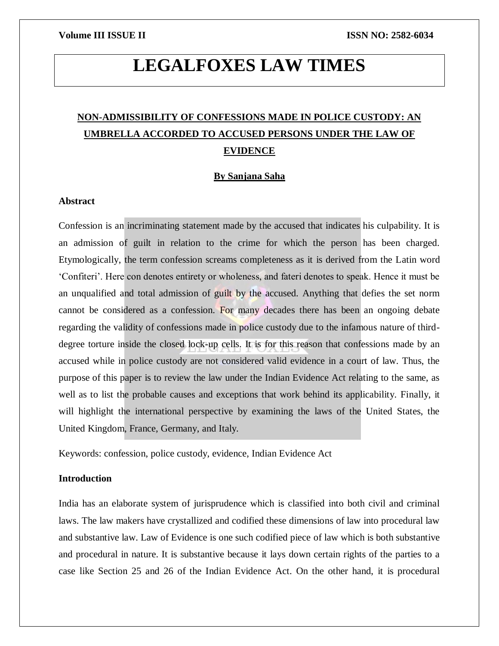# **LEGALFOXES LAW TIMES**

# **NON-ADMISSIBILITY OF CONFESSIONS MADE IN POLICE CUSTODY: AN UMBRELLA ACCORDED TO ACCUSED PERSONS UNDER THE LAW OF EVIDENCE**

# **By Sanjana Saha**

# **Abstract**

Confession is an incriminating statement made by the accused that indicates his culpability. It is an admission of guilt in relation to the crime for which the person has been charged. Etymologically, the term confession screams completeness as it is derived from the Latin word 'Confiteri'. Here con denotes entirety or wholeness, and fateri denotes to speak. Hence it must be an unqualified and total admission of guilt by the accused. Anything that defies the set norm cannot be considered as a confession. For many decades there has been an ongoing debate regarding the validity of confessions made in police custody due to the infamous nature of thirddegree torture inside the closed lock-up cells. It is for this reason that confessions made by an accused while in police custody are not considered valid evidence in a court of law. Thus, the purpose of this paper is to review the law under the Indian Evidence Act relating to the same, as well as to list the probable causes and exceptions that work behind its applicability. Finally, it will highlight the international perspective by examining the laws of the United States, the United Kingdom, France, Germany, and Italy.

Keywords: confession, police custody, evidence, Indian Evidence Act

# **Introduction**

India has an elaborate system of jurisprudence which is classified into both civil and criminal laws. The law makers have crystallized and codified these dimensions of law into procedural law and substantive law. Law of Evidence is one such codified piece of law which is both substantive and procedural in nature. It is substantive because it lays down certain rights of the parties to a case like Section 25 and 26 of the Indian Evidence Act. On the other hand, it is procedural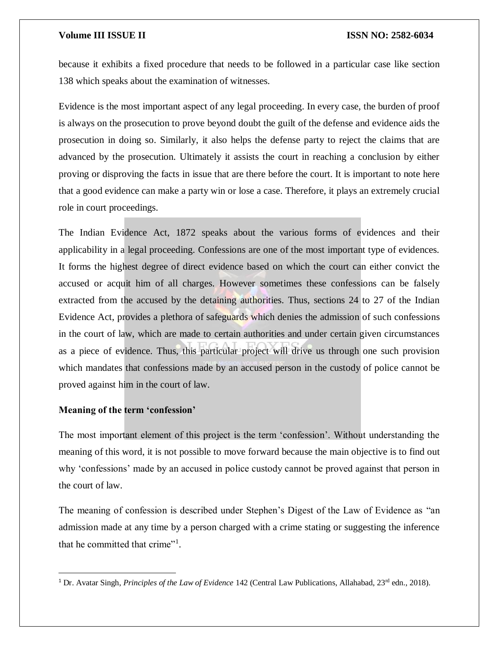because it exhibits a fixed procedure that needs to be followed in a particular case like section 138 which speaks about the examination of witnesses.

Evidence is the most important aspect of any legal proceeding. In every case, the burden of proof is always on the prosecution to prove beyond doubt the guilt of the defense and evidence aids the prosecution in doing so. Similarly, it also helps the defense party to reject the claims that are advanced by the prosecution. Ultimately it assists the court in reaching a conclusion by either proving or disproving the facts in issue that are there before the court. It is important to note here that a good evidence can make a party win or lose a case. Therefore, it plays an extremely crucial role in court proceedings.

The Indian Evidence Act, 1872 speaks about the various forms of evidences and their applicability in a legal proceeding. Confessions are one of the most important type of evidences. It forms the highest degree of direct evidence based on which the court can either convict the accused or acquit him of all charges. However sometimes these confessions can be falsely extracted from the accused by the detaining authorities. Thus, sections 24 to 27 of the Indian Evidence Act, provides a plethora of safeguards which denies the admission of such confessions in the court of law, which are made to certain authorities and under certain given circumstances as a piece of evidence. Thus, this particular project will drive us through one such provision which mandates that confessions made by an accused person in the custody of police cannot be proved against him in the court of law.

# **Meaning of the term 'confession'**

 $\overline{a}$ 

The most important element of this project is the term 'confession'. Without understanding the meaning of this word, it is not possible to move forward because the main objective is to find out why 'confessions' made by an accused in police custody cannot be proved against that person in the court of law.

The meaning of confession is described under Stephen's Digest of the Law of Evidence as "an admission made at any time by a person charged with a crime stating or suggesting the inference that he committed that crime"<sup>1</sup>.

<sup>1</sup> Dr. Avatar Singh, *Principles of the Law of Evidence* 142 (Central Law Publications, Allahabad, 23rd edn., 2018).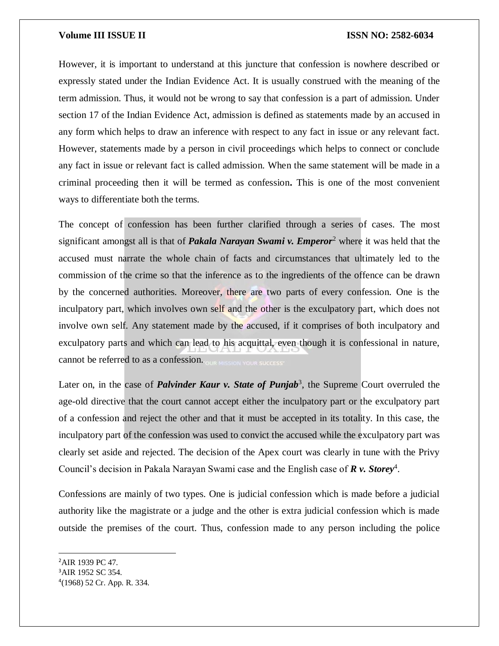However, it is important to understand at this juncture that confession is nowhere described or expressly stated under the Indian Evidence Act. It is usually construed with the meaning of the term admission. Thus, it would not be wrong to say that confession is a part of admission. Under section 17 of the Indian Evidence Act, admission is defined as statements made by an accused in any form which helps to draw an inference with respect to any fact in issue or any relevant fact. However, statements made by a person in civil proceedings which helps to connect or conclude any fact in issue or relevant fact is called admission. When the same statement will be made in a criminal proceeding then it will be termed as confession**.** This is one of the most convenient ways to differentiate both the terms.

The concept of confession has been further clarified through a series of cases. The most significant amongst all is that of *Pakala Narayan Swami v. Emperor*<sup>2</sup> where it was held that the accused must narrate the whole chain of facts and circumstances that ultimately led to the commission of the crime so that the inference as to the ingredients of the offence can be drawn by the concerned authorities. Moreover, there are two parts of every confession. One is the inculpatory part, which involves own self and the other is the exculpatory part, which does not involve own self. Any statement made by the accused, if it comprises of both inculpatory and exculpatory parts and which can lead to his acquittal, even though it is confessional in nature, cannot be referred to as a confession. our MESION YOUR SUCCESS'

Later on, in the case of *Palvinder Kaur v. State of Punjab*<sup>3</sup>, the Supreme Court overruled the age-old directive that the court cannot accept either the inculpatory part or the exculpatory part of a confession and reject the other and that it must be accepted in its totality. In this case, the inculpatory part of the confession was used to convict the accused while the exculpatory part was clearly set aside and rejected. The decision of the Apex court was clearly in tune with the Privy Council's decision in Pakala Narayan Swami case and the English case of **R** v. Storey<sup>4</sup>.

Confessions are mainly of two types. One is judicial confession which is made before a judicial authority like the magistrate or a judge and the other is extra judicial confession which is made outside the premises of the court. Thus, confession made to any person including the police

<sup>2</sup>AIR 1939 PC 47.

<sup>3</sup>AIR 1952 SC 354.

<sup>4</sup> (1968) 52 Cr. App. R. 334.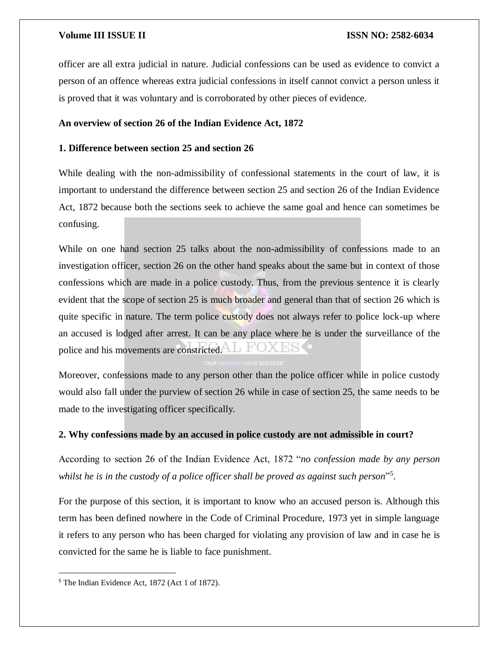# **Volume III ISSUE II ISSUE II ISSN NO:** 2582-6034

officer are all extra judicial in nature. Judicial confessions can be used as evidence to convict a person of an offence whereas extra judicial confessions in itself cannot convict a person unless it is proved that it was voluntary and is corroborated by other pieces of evidence.

# **An overview of section 26 of the Indian Evidence Act, 1872**

# **1. Difference between section 25 and section 26**

While dealing with the non-admissibility of confessional statements in the court of law, it is important to understand the difference between section 25 and section 26 of the Indian Evidence Act, 1872 because both the sections seek to achieve the same goal and hence can sometimes be confusing.

While on one hand section 25 talks about the non-admissibility of confessions made to an investigation officer, section 26 on the other hand speaks about the same but in context of those confessions which are made in a police custody. Thus, from the previous sentence it is clearly evident that the scope of section 25 is much broader and general than that of section 26 which is quite specific in nature. The term police custody does not always refer to police lock-up where an accused is lodged after arrest. It can be any place where he is under the surveillance of the police and his movements are constricted.

Moreover, confessions made to any person other than the police officer while in police custody would also fall under the purview of section 26 while in case of section 25, the same needs to be made to the investigating officer specifically.

# **2. Why confessions made by an accused in police custody are not admissible in court?**

According to section 26 of the Indian Evidence Act, 1872 "*no confession made by any person*  whilst he is in the custody of a police officer shall be proved as against such person"<sup>5</sup>.

For the purpose of this section, it is important to know who an accused person is. Although this term has been defined nowhere in the Code of Criminal Procedure, 1973 yet in simple language it refers to any person who has been charged for violating any provision of law and in case he is convicted for the same he is liable to face punishment.

<sup>5</sup> The Indian Evidence Act, 1872 (Act 1 of 1872).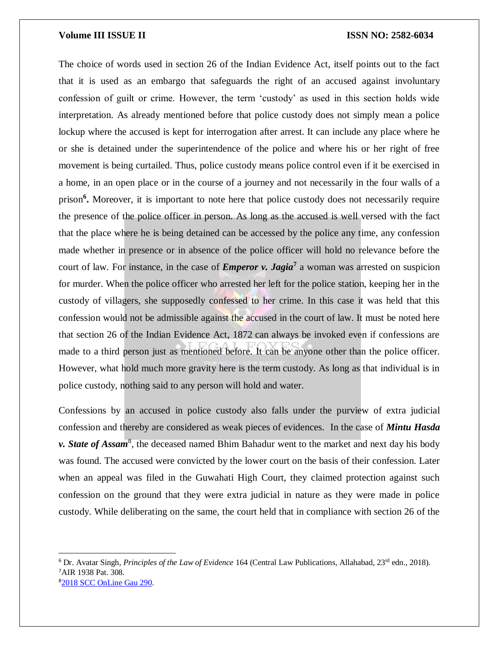$\overline{a}$ 

The choice of words used in section 26 of the Indian Evidence Act, itself points out to the fact that it is used as an embargo that safeguards the right of an accused against involuntary confession of guilt or crime. However, the term 'custody' as used in this section holds wide interpretation. As already mentioned before that police custody does not simply mean a police lockup where the accused is kept for interrogation after arrest. It can include any place where he or she is detained under the superintendence of the police and where his or her right of free movement is being curtailed. Thus, police custody means police control even if it be exercised in a home, in an open place or in the course of a journey and not necessarily in the four walls of a prison**<sup>6</sup> .** Moreover, it is important to note here that police custody does not necessarily require the presence of the police officer in person. As long as the accused is well versed with the fact that the place where he is being detained can be accessed by the police any time, any confession made whether in presence or in absence of the police officer will hold no relevance before the court of law. For instance, in the case of *Emperor v. Jagia***<sup>7</sup>** a woman was arrested on suspicion for murder. When the police officer who arrested her left for the police station, keeping her in the custody of villagers, she supposedly confessed to her crime. In this case it was held that this confession would not be admissible against the accused in the court of law. It must be noted here that section 26 of the Indian Evidence Act, 1872 can always be invoked even if confessions are made to a third person just as mentioned before. It can be anyone other than the police officer. However, what hold much more gravity here is the term custody. As long as that individual is in police custody, nothing said to any person will hold and water.

Confessions by an accused in police custody also falls under the purview of extra judicial confession and thereby are considered as weak pieces of evidences. In the case of *Mintu Hasda*  v. State of Assam<sup>8</sup>, the deceased named Bhim Bahadur went to the market and next day his body was found. The accused were convicted by the lower court on the basis of their confession. Later when an appeal was filed in the Guwahati High Court, they claimed protection against such confession on the ground that they were extra judicial in nature as they were made in police custody. While deliberating on the same, the court held that in compliance with section 26 of the

<sup>6</sup> Dr. Avatar Singh, *Principles of the Law of Evidence* 164 (Central Law Publications, Allahabad, 23rd edn., 2018). <sup>7</sup>AIR 1938 Pat. 308. 8[2018 SCC OnLine Gau 290.](http://www.scconline.com/DocumentLink/VZLo661p)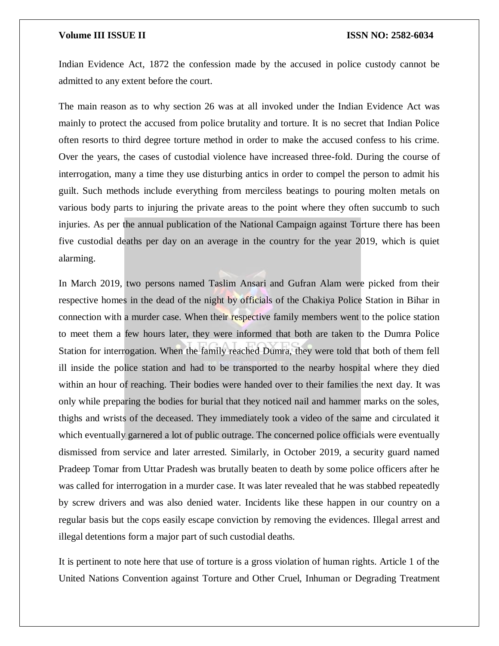Indian Evidence Act, 1872 the confession made by the accused in police custody cannot be admitted to any extent before the court.

The main reason as to why section 26 was at all invoked under the Indian Evidence Act was mainly to protect the accused from police brutality and torture. It is no secret that Indian Police often resorts to third degree torture method in order to make the accused confess to his crime. Over the years, the cases of custodial violence have increased three-fold. During the course of interrogation, many a time they use disturbing antics in order to compel the person to admit his guilt. Such methods include everything from merciless beatings to pouring molten metals on various body parts to injuring the private areas to the point where they often succumb to such injuries. As per the annual publication of the National Campaign against Torture there has been five custodial deaths per day on an average in the country for the year 2019, which is quiet alarming.

In March 2019, two persons named Taslim Ansari and Gufran Alam were picked from their respective homes in the dead of the night by officials of the Chakiya Police Station in Bihar in connection with a murder case. When their respective family members went to the police station to meet them a few hours later, they were informed that both are taken to the Dumra Police Station for interrogation. When the family reached Dumra, they were told that both of them fell ill inside the police station and had to be transported to the nearby hospital where they died within an hour of reaching. Their bodies were handed over to their families the next day. It was only while preparing the bodies for burial that they noticed nail and hammer marks on the soles, thighs and wrists of the deceased. They immediately took a video of the same and circulated it which eventually garnered a lot of public outrage. The concerned police officials were eventually dismissed from service and later arrested. Similarly, in October 2019, a security guard named Pradeep Tomar from Uttar Pradesh was brutally beaten to death by some police officers after he was called for interrogation in a murder case. It was later revealed that he was stabbed repeatedly by screw drivers and was also denied water. Incidents like these happen in our country on a regular basis but the cops easily escape conviction by removing the evidences. Illegal arrest and illegal detentions form a major part of such custodial deaths.

It is pertinent to note here that use of torture is a gross violation of human rights. Article 1 of the United Nations Convention against Torture and Other Cruel, Inhuman or Degrading Treatment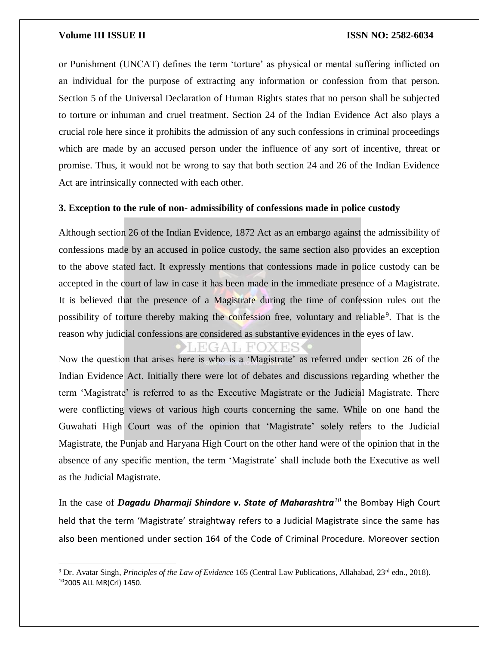$\overline{\phantom{a}}$ 

or Punishment (UNCAT) defines the term 'torture' as physical or mental suffering inflicted on an individual for the purpose of extracting any information or confession from that person. Section 5 of the Universal Declaration of Human Rights states that no person shall be subjected to torture or inhuman and cruel treatment. Section 24 of the Indian Evidence Act also plays a crucial role here since it prohibits the admission of any such confessions in criminal proceedings which are made by an accused person under the influence of any sort of incentive, threat or promise. Thus, it would not be wrong to say that both section 24 and 26 of the Indian Evidence Act are intrinsically connected with each other.

# **3. Exception to the rule of non- admissibility of confessions made in police custody**

Although section 26 of the Indian Evidence, 1872 Act as an embargo against the admissibility of confessions made by an accused in police custody, the same section also provides an exception to the above stated fact. It expressly mentions that confessions made in police custody can be accepted in the court of law in case it has been made in the immediate presence of a Magistrate. It is believed that the presence of a Magistrate during the time of confession rules out the possibility of torture thereby making the confession free, voluntary and reliable<sup>9</sup>. That is the reason why judicial confessions are considered as substantive evidences in the eyes of law.

Now the question that arises here is who is a 'Magistrate' as referred under section 26 of the Indian Evidence Act. Initially there were lot of debates and discussions regarding whether the term 'Magistrate' is referred to as the Executive Magistrate or the Judicial Magistrate. There were conflicting views of various high courts concerning the same. While on one hand the Guwahati High Court was of the opinion that 'Magistrate' solely refers to the Judicial Magistrate, the Punjab and Haryana High Court on the other hand were of the opinion that in the absence of any specific mention, the term 'Magistrate' shall include both the Executive as well as the Judicial Magistrate.

In the case of *Dagadu Dharmaji Shindore v. State of Maharashtra<sup>10</sup>* the Bombay High Court held that the term 'Magistrate' straightway refers to a Judicial Magistrate since the same has also been mentioned under section 164 of the Code of Criminal Procedure. Moreover section

<sup>9</sup> Dr. Avatar Singh, *Principles of the Law of Evidence* 165 (Central Law Publications, Allahabad, 23rd edn., 2018). 102005 ALL MR(Cri) 1450.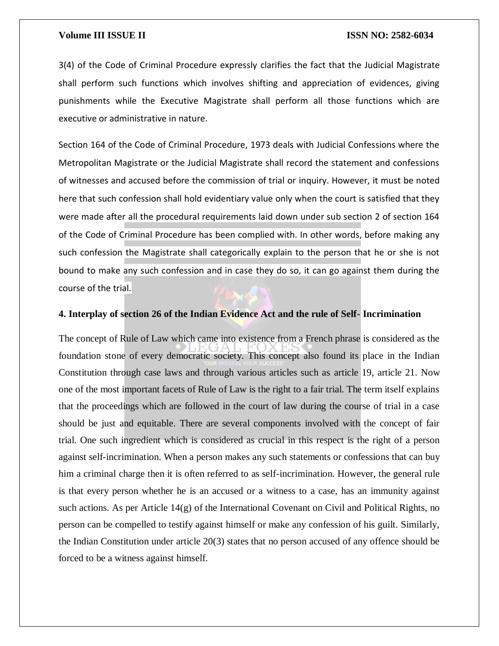3(4) of the Code of Criminal Procedure expressly clarifies the fact that the Judicial Magistrate shall perform such functions which involves shifting and appreciation of evidences, giving punishments while the Executive Magistrate shall perform all those functions which are executive or administrative in nature.

Section 164 of the Code of Criminal Procedure, 1973 deals with Judicial Confessions where the Metropolitan Magistrate or the Judicial Magistrate shall record the statement and confessions of witnesses and accused before the commission of trial or inquiry. However, it must be noted here that such confession shall hold evidentiary value only when the court is satisfied that they were made after all the procedural requirements laid down under sub section 2 of section 164 of the Code of Criminal Procedure has been complied with. In other words, before making any such confession the Magistrate shall categorically explain to the person that he or she is not bound to make any such confession and in case they do so, it can go against them during the course of the trial.

# **4. Interplay of section 26 of the Indian Evidence Act and the rule of Self- Incrimination**

The concept of Rule of Law which came into existence from a French phrase is considered as the foundation stone of every democratic society. This concept also found its place in the Indian Constitution through case laws and through various articles such as article 19, article 21. Now one of the most important facets of Rule of Law is the right to a fair trial. The term itself explains that the proceedings which are followed in the court of law during the course of trial in a case should be just and equitable. There are several components involved with the concept of fair trial. One such ingredient which is considered as crucial in this respect is the right of a person against self-incrimination. When a person makes any such statements or confessions that can buy him a criminal charge then it is often referred to as self-incrimination. However, the general rule is that every person whether he is an accused or a witness to a case, has an immunity against such actions. As per Article 14(g) of the International Covenant on Civil and Political Rights, no person can be compelled to testify against himself or make any confession of his guilt. Similarly, the Indian Constitution under article 20(3) states that no person accused of any offence should be forced to be a witness against himself.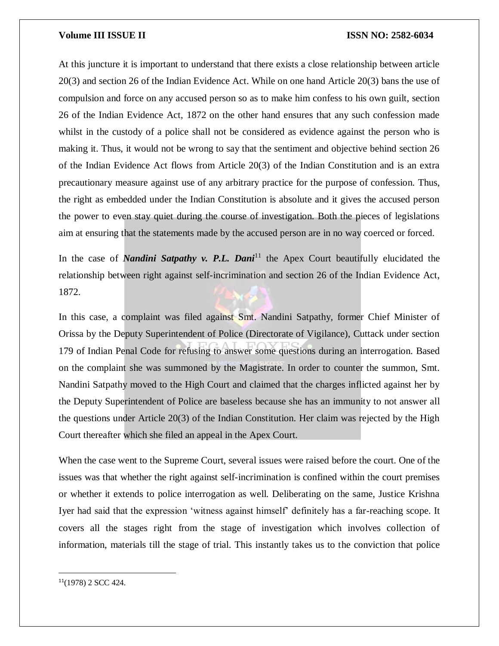At this juncture it is important to understand that there exists a close relationship between article 20(3) and section 26 of the Indian Evidence Act. While on one hand Article 20(3) bans the use of compulsion and force on any accused person so as to make him confess to his own guilt, section 26 of the Indian Evidence Act, 1872 on the other hand ensures that any such confession made whilst in the custody of a police shall not be considered as evidence against the person who is making it. Thus, it would not be wrong to say that the sentiment and objective behind section 26 of the Indian Evidence Act flows from Article 20(3) of the Indian Constitution and is an extra precautionary measure against use of any arbitrary practice for the purpose of confession. Thus, the right as embedded under the Indian Constitution is absolute and it gives the accused person the power to even stay quiet during the course of investigation. Both the pieces of legislations aim at ensuring that the statements made by the accused person are in no way coerced or forced.

In the case of *Nandini Satpathy v. P.L. Dani*<sup>11</sup> the Apex Court beautifully elucidated the relationship between right against self-incrimination and section 26 of the Indian Evidence Act, 1872.

In this case, a complaint was filed against Smt. Nandini Satpathy, former Chief Minister of Orissa by the Deputy Superintendent of Police (Directorate of Vigilance), Cuttack under section 179 of Indian Penal Code for refusing to answer some questions during an interrogation. Based on the complaint she was summoned by the Magistrate. In order to counter the summon, Smt. Nandini Satpathy moved to the High Court and claimed that the charges inflicted against her by the Deputy Superintendent of Police are baseless because she has an immunity to not answer all the questions under Article 20(3) of the Indian Constitution. Her claim was rejected by the High Court thereafter which she filed an appeal in the Apex Court.

When the case went to the Supreme Court, several issues were raised before the court. One of the issues was that whether the right against self-incrimination is confined within the court premises or whether it extends to police interrogation as well. Deliberating on the same, Justice Krishna Iyer had said that the expression 'witness against himself' definitely has a far-reaching scope. It covers all the stages right from the stage of investigation which involves collection of information, materials till the stage of trial. This instantly takes us to the conviction that police

<sup>11</sup>(1978) 2 SCC 424.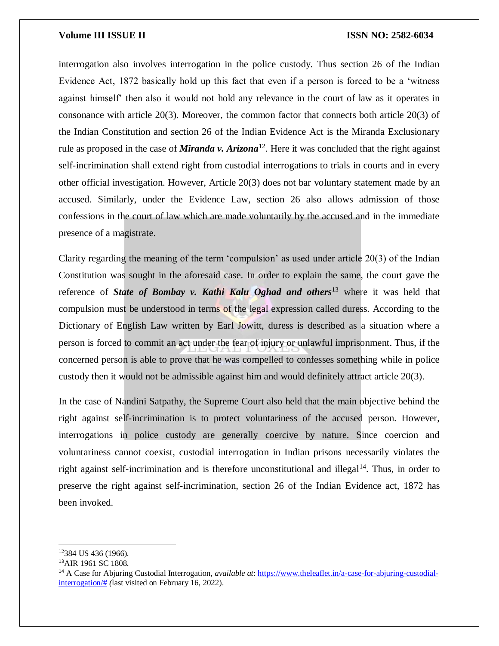interrogation also involves interrogation in the police custody. Thus section 26 of the Indian Evidence Act, 1872 basically hold up this fact that even if a person is forced to be a 'witness against himself' then also it would not hold any relevance in the court of law as it operates in consonance with article 20(3). Moreover, the common factor that connects both article 20(3) of the Indian Constitution and section 26 of the Indian Evidence Act is the Miranda Exclusionary rule as proposed in the case of *Miranda v. Arizona*<sup>12</sup>. Here it was concluded that the right against self-incrimination shall extend right from custodial interrogations to trials in courts and in every other official investigation. However, Article 20(3) does not bar voluntary statement made by an accused. Similarly, under the Evidence Law, section 26 also allows admission of those confessions in the court of law which are made voluntarily by the accused and in the immediate presence of a magistrate.

Clarity regarding the meaning of the term 'compulsion' as used under article 20(3) of the Indian Constitution was sought in the aforesaid case. In order to explain the same, the court gave the reference of *State of Bombay v. Kathi Kalu Oghad and others*<sup>13</sup> where it was held that compulsion must be understood in terms of the legal expression called duress. According to the Dictionary of English Law written by Earl Jowitt, duress is described as a situation where a person is forced to commit an act under the fear of injury or unlawful imprisonment. Thus, if the concerned person is able to prove that he was compelled to confesses something while in police custody then it would not be admissible against him and would definitely attract article 20(3).

In the case of Nandini Satpathy, the Supreme Court also held that the main objective behind the right against self-incrimination is to protect voluntariness of the accused person. However, interrogations in police custody are generally coercive by nature. Since coercion and voluntariness cannot coexist, custodial interrogation in Indian prisons necessarily violates the right against self-incrimination and is therefore unconstitutional and illegal<sup>14</sup>. Thus, in order to preserve the right against self-incrimination, section 26 of the Indian Evidence act, 1872 has been invoked.

<sup>12</sup>384 US 436 (1966).

<sup>13</sup>AIR 1961 SC 1808.

<sup>14</sup> A Case for Abjuring Custodial Interrogation, *available at*: [https://www.theleaflet.in/a-case-for-abjuring-custodial](https://www.theleaflet.in/a-case-for-abjuring-custodial-interrogation/)[interrogation/#](https://www.theleaflet.in/a-case-for-abjuring-custodial-interrogation/) *(*last visited on February 16, 2022).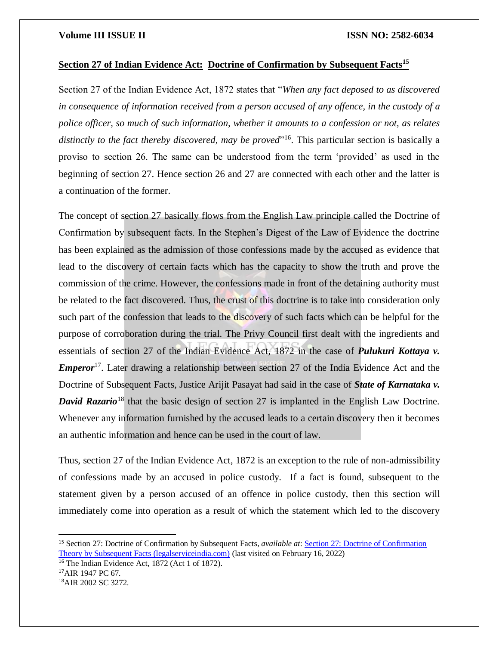# **Section 27 of Indian Evidence Act: Doctrine of Confirmation by Subsequent Facts<sup>15</sup>**

Section 27 of the Indian Evidence Act, 1872 states that "*When any fact deposed to as discovered in consequence of information received from a person accused of any offence, in the custody of a police officer, so much of such information, whether it amounts to a confession or not, as relates distinctly to the fact thereby discovered, may be proved*" <sup>16</sup>. This particular section is basically a proviso to section 26. The same can be understood from the term 'provided' as used in the beginning of section 27. Hence section 26 and 27 are connected with each other and the latter is a continuation of the former.

The concept of section 27 basically flows from the English Law principle called the Doctrine of Confirmation by subsequent facts. In the Stephen's Digest of the Law of Evidence the doctrine has been explained as the admission of those confessions made by the accused as evidence that lead to the discovery of certain facts which has the capacity to show the truth and prove the commission of the crime. However, the confessions made in front of the detaining authority must be related to the fact discovered. Thus, the crust of this doctrine is to take into consideration only such part of the confession that leads to the discovery of such facts which can be helpful for the purpose of corroboration during the trial. The Privy Council first dealt with the ingredients and essentials of section 27 of the Indian Evidence Act, 1872 in the case of *Pulukuri Kottaya v. Emperor*<sup>17</sup>. Later drawing a relationship between section 27 of the India Evidence Act and the Doctrine of Subsequent Facts, Justice Arijit Pasayat had said in the case of *State of Karnataka v. David Razario*<sup>18</sup> that the basic design of section 27 is implanted in the English Law Doctrine. Whenever any information furnished by the accused leads to a certain discovery then it becomes an authentic information and hence can be used in the court of law.

Thus, section 27 of the Indian Evidence Act, 1872 is an exception to the rule of non-admissibility of confessions made by an accused in police custody. If a fact is found, subsequent to the statement given by a person accused of an offence in police custody, then this section will immediately come into operation as a result of which the statement which led to the discovery

<sup>16</sup> The Indian Evidence Act, 1872 (Act 1 of 1872). <sup>17</sup>AIR 1947 PC 67.

<sup>15</sup> Section 27: Doctrine of Confirmation by Subsequent Facts*, available at*[: Section 27: Doctrine of Confirmation](https://www.legalserviceindia.com/legal/article-1190-section-27-doctrine-of-confirmation-theory-by-subsequent-facts.html)  [Theory by Subsequent Facts \(legalserviceindia.com\)](https://www.legalserviceindia.com/legal/article-1190-section-27-doctrine-of-confirmation-theory-by-subsequent-facts.html) (last visited on February 16, 2022)

<sup>18</sup>AIR 2002 SC 3272.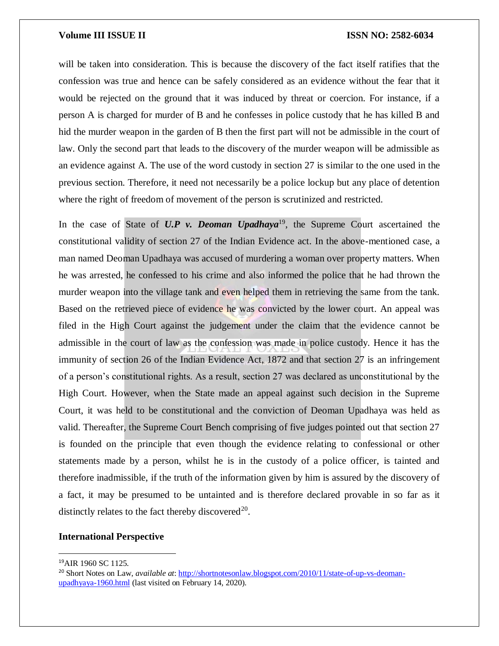will be taken into consideration. This is because the discovery of the fact itself ratifies that the confession was true and hence can be safely considered as an evidence without the fear that it would be rejected on the ground that it was induced by threat or coercion. For instance, if a person A is charged for murder of B and he confesses in police custody that he has killed B and hid the murder weapon in the garden of B then the first part will not be admissible in the court of law. Only the second part that leads to the discovery of the murder weapon will be admissible as an evidence against A. The use of the word custody in section 27 is similar to the one used in the previous section. Therefore, it need not necessarily be a police lockup but any place of detention where the right of freedom of movement of the person is scrutinized and restricted.

In the case of State of  $U.P$  v. Deoman Upadhaya<sup>19</sup>, the Supreme Court ascertained the constitutional validity of section 27 of the Indian Evidence act. In the above-mentioned case, a man named Deoman Upadhaya was accused of murdering a woman over property matters. When he was arrested, he confessed to his crime and also informed the police that he had thrown the murder weapon into the village tank and even helped them in retrieving the same from the tank. Based on the retrieved piece of evidence he was convicted by the lower court. An appeal was filed in the High Court against the judgement under the claim that the evidence cannot be admissible in the court of law as the confession was made in police custody. Hence it has the immunity of section 26 of the Indian Evidence Act, 1872 and that section 27 is an infringement of a person's constitutional rights. As a result, section 27 was declared as unconstitutional by the High Court. However, when the State made an appeal against such decision in the Supreme Court, it was held to be constitutional and the conviction of Deoman Upadhaya was held as valid. Thereafter, the Supreme Court Bench comprising of five judges pointed out that section 27 is founded on the principle that even though the evidence relating to confessional or other statements made by a person, whilst he is in the custody of a police officer, is tainted and therefore inadmissible, if the truth of the information given by him is assured by the discovery of a fact, it may be presumed to be untainted and is therefore declared provable in so far as it distinctly relates to the fact thereby discovered<sup>20</sup>.

# **International Perspective**

<sup>19</sup>AIR 1960 SC 1125.

<sup>20</sup> Short Notes on Law, *available at*: [http://shortnotesonlaw.blogspot.com/2010/11/state-of-up-vs-deoman](http://shortnotesonlaw.blogspot.com/2010/11/state-of-up-vs-deoman-upadhyaya-1960.html)[upadhyaya-1960.html](http://shortnotesonlaw.blogspot.com/2010/11/state-of-up-vs-deoman-upadhyaya-1960.html) (last visited on February 14, 2020).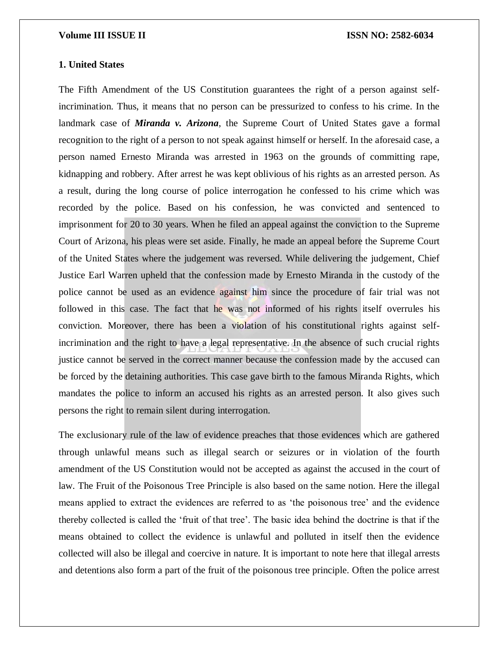# **1. United States**

The Fifth Amendment of the US Constitution guarantees the right of a person against selfincrimination. Thus, it means that no person can be pressurized to confess to his crime. In the landmark case of *Miranda v. Arizona*, the Supreme Court of United States gave a formal recognition to the right of a person to not speak against himself or herself. In the aforesaid case, a person named Ernesto Miranda was arrested in 1963 on the grounds of committing rape, kidnapping and robbery. After arrest he was kept oblivious of his rights as an arrested person. As a result, during the long course of police interrogation he confessed to his crime which was recorded by the police. Based on his confession, he was convicted and sentenced to imprisonment for 20 to 30 years. When he filed an appeal against the conviction to the Supreme Court of Arizona, his pleas were set aside. Finally, he made an appeal before the Supreme Court of the United States where the judgement was reversed. While delivering the judgement, Chief Justice Earl Warren upheld that the confession made by Ernesto Miranda in the custody of the police cannot be used as an evidence against him since the procedure of fair trial was not followed in this case. The fact that he was not informed of his rights itself overrules his conviction. Moreover, there has been a violation of his constitutional rights against selfincrimination and the right to have a legal representative. In the absence of such crucial rights justice cannot be served in the correct manner because the confession made by the accused can be forced by the detaining authorities. This case gave birth to the famous Miranda Rights, which mandates the police to inform an accused his rights as an arrested person. It also gives such persons the right to remain silent during interrogation.

The exclusionary rule of the law of evidence preaches that those evidences which are gathered through unlawful means such as illegal search or seizures or in violation of the fourth amendment of the US Constitution would not be accepted as against the accused in the court of law. The Fruit of the Poisonous Tree Principle is also based on the same notion. Here the illegal means applied to extract the evidences are referred to as 'the poisonous tree' and the evidence thereby collected is called the 'fruit of that tree'. The basic idea behind the doctrine is that if the means obtained to collect the evidence is unlawful and polluted in itself then the evidence collected will also be illegal and coercive in nature. It is important to note here that illegal arrests and detentions also form a part of the fruit of the poisonous tree principle. Often the police arrest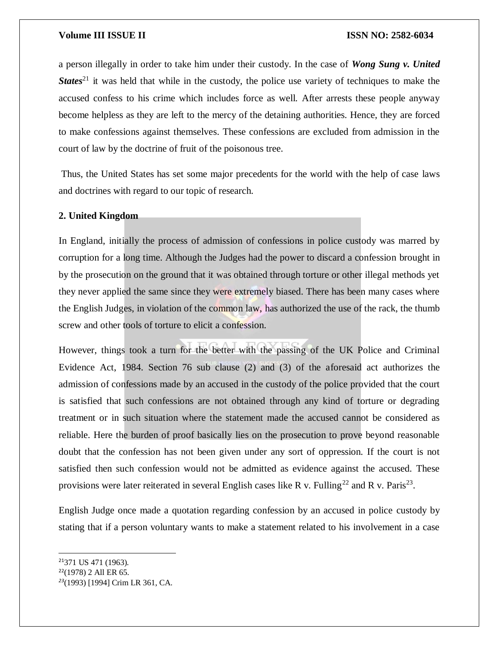a person illegally in order to take him under their custody. In the case of *Wong Sung v. United*  **States**<sup>21</sup> it was held that while in the custody, the police use variety of techniques to make the accused confess to his crime which includes force as well. After arrests these people anyway become helpless as they are left to the mercy of the detaining authorities. Hence, they are forced to make confessions against themselves. These confessions are excluded from admission in the court of law by the doctrine of fruit of the poisonous tree.

Thus, the United States has set some major precedents for the world with the help of case laws and doctrines with regard to our topic of research.

# **2. United Kingdom**

In England, initially the process of admission of confessions in police custody was marred by corruption for a long time. Although the Judges had the power to discard a confession brought in by the prosecution on the ground that it was obtained through torture or other illegal methods yet they never applied the same since they were extremely biased. There has been many cases where the English Judges, in violation of the common law, has authorized the use of the rack, the thumb screw and other tools of torture to elicit a confession.

However, things took a turn for the better with the passing of the UK Police and Criminal Evidence Act, 1984. Section 76 sub clause (2) and (3) of the aforesaid act authorizes the admission of confessions made by an accused in the custody of the police provided that the court is satisfied that such confessions are not obtained through any kind of torture or degrading treatment or in such situation where the statement made the accused cannot be considered as reliable. Here the burden of proof basically lies on the prosecution to prove beyond reasonable doubt that the confession has not been given under any sort of oppression. If the court is not satisfied then such confession would not be admitted as evidence against the accused. These provisions were later reiterated in several English cases like R v. Fulling<sup>22</sup> and R v. Paris<sup>23</sup>.

English Judge once made a quotation regarding confession by an accused in police custody by stating that if a person voluntary wants to make a statement related to his involvement in a case

<sup>21</sup>371 US 471 (1963).

 $2^{22}(1978)$  2 All ER 65.

*<sup>23</sup>*(1993) [1994] Crim LR 361, CA.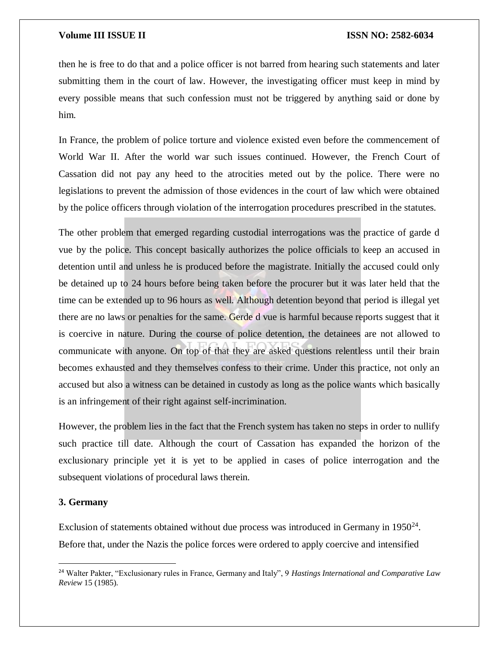then he is free to do that and a police officer is not barred from hearing such statements and later submitting them in the court of law. However, the investigating officer must keep in mind by every possible means that such confession must not be triggered by anything said or done by him.

In France, the problem of police torture and violence existed even before the commencement of World War II. After the world war such issues continued. However, the French Court of Cassation did not pay any heed to the atrocities meted out by the police. There were no legislations to prevent the admission of those evidences in the court of law which were obtained by the police officers through violation of the interrogation procedures prescribed in the statutes.

The other problem that emerged regarding custodial interrogations was the practice of garde d vue by the police. This concept basically authorizes the police officials to keep an accused in detention until and unless he is produced before the magistrate. Initially the accused could only be detained up to 24 hours before being taken before the procurer but it was later held that the time can be extended up to 96 hours as well. Although detention beyond that period is illegal yet there are no laws or penalties for the same. Gerde d vue is harmful because reports suggest that it is coercive in nature. During the course of police detention, the detainees are not allowed to communicate with anyone. On top of that they are asked questions relentless until their brain becomes exhausted and they themselves confess to their crime. Under this practice, not only an accused but also a witness can be detained in custody as long as the police wants which basically is an infringement of their right against self-incrimination.

However, the problem lies in the fact that the French system has taken no steps in order to nullify such practice till date. Although the court of Cassation has expanded the horizon of the exclusionary principle yet it is yet to be applied in cases of police interrogation and the subsequent violations of procedural laws therein.

# **3. Germany**

 $\overline{\phantom{a}}$ 

Exclusion of statements obtained without due process was introduced in Germany in  $1950<sup>24</sup>$ . Before that, under the Nazis the police forces were ordered to apply coercive and intensified

<sup>24</sup> Walter Pakter, "Exclusionary rules in France, Germany and Italy", 9 *Hastings International and Comparative Law Review* 15 (1985).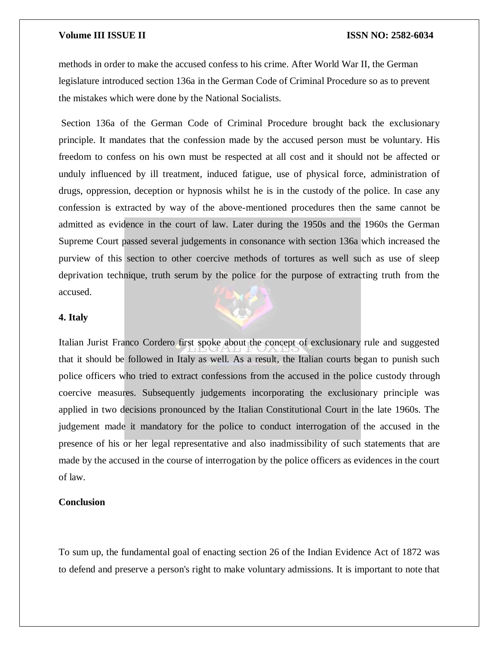methods in order to make the accused confess to his crime. After World War II, the German legislature introduced section 136a in the German Code of Criminal Procedure so as to prevent the mistakes which were done by the National Socialists.

Section 136a of the German Code of Criminal Procedure brought back the exclusionary principle. It mandates that the confession made by the accused person must be voluntary. His freedom to confess on his own must be respected at all cost and it should not be affected or unduly influenced by ill treatment, induced fatigue, use of physical force, administration of drugs, oppression, deception or hypnosis whilst he is in the custody of the police. In case any confession is extracted by way of the above-mentioned procedures then the same cannot be admitted as evidence in the court of law. Later during the 1950s and the 1960s the German Supreme Court passed several judgements in consonance with section 136a which increased the purview of this section to other coercive methods of tortures as well such as use of sleep deprivation technique, truth serum by the police for the purpose of extracting truth from the accused.

### **4. Italy**

Italian Jurist Franco Cordero first spoke about the concept of exclusionary rule and suggested that it should be followed in Italy as well. As a result, the Italian courts began to punish such police officers who tried to extract confessions from the accused in the police custody through coercive measures. Subsequently judgements incorporating the exclusionary principle was applied in two decisions pronounced by the Italian Constitutional Court in the late 1960s. The judgement made it mandatory for the police to conduct interrogation of the accused in the presence of his or her legal representative and also inadmissibility of such statements that are made by the accused in the course of interrogation by the police officers as evidences in the court of law.

# **Conclusion**

To sum up, the fundamental goal of enacting section 26 of the Indian Evidence Act of 1872 was to defend and preserve a person's right to make voluntary admissions. It is important to note that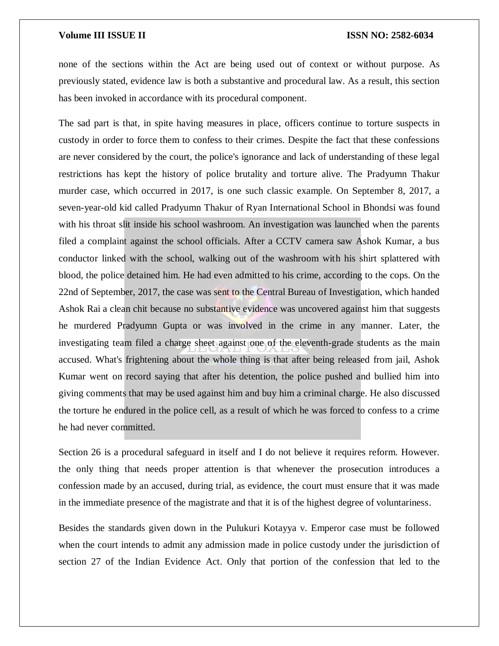none of the sections within the Act are being used out of context or without purpose. As previously stated, evidence law is both a substantive and procedural law. As a result, this section has been invoked in accordance with its procedural component.

The sad part is that, in spite having measures in place, officers continue to torture suspects in custody in order to force them to confess to their crimes. Despite the fact that these confessions are never considered by the court, the police's ignorance and lack of understanding of these legal restrictions has kept the history of police brutality and torture alive. The Pradyumn Thakur murder case, which occurred in 2017, is one such classic example. On September 8, 2017, a seven-year-old kid called Pradyumn Thakur of Ryan International School in Bhondsi was found with his throat slit inside his school washroom. An investigation was launched when the parents filed a complaint against the school officials. After a CCTV camera saw Ashok Kumar, a bus conductor linked with the school, walking out of the washroom with his shirt splattered with blood, the police detained him. He had even admitted to his crime, according to the cops. On the 22nd of September, 2017, the case was sent to the Central Bureau of Investigation, which handed Ashok Rai a clean chit because no substantive evidence was uncovered against him that suggests he murdered Pradyumn Gupta or was involved in the crime in any manner. Later, the investigating team filed a charge sheet against one of the eleventh-grade students as the main accused. What's frightening about the whole thing is that after being released from jail, Ashok Kumar went on record saying that after his detention, the police pushed and bullied him into giving comments that may be used against him and buy him a criminal charge. He also discussed the torture he endured in the police cell, as a result of which he was forced to confess to a crime he had never committed.

Section 26 is a procedural safeguard in itself and I do not believe it requires reform. However. the only thing that needs proper attention is that whenever the prosecution introduces a confession made by an accused, during trial, as evidence, the court must ensure that it was made in the immediate presence of the magistrate and that it is of the highest degree of voluntariness.

Besides the standards given down in the Pulukuri Kotayya v. Emperor case must be followed when the court intends to admit any admission made in police custody under the jurisdiction of section 27 of the Indian Evidence Act. Only that portion of the confession that led to the